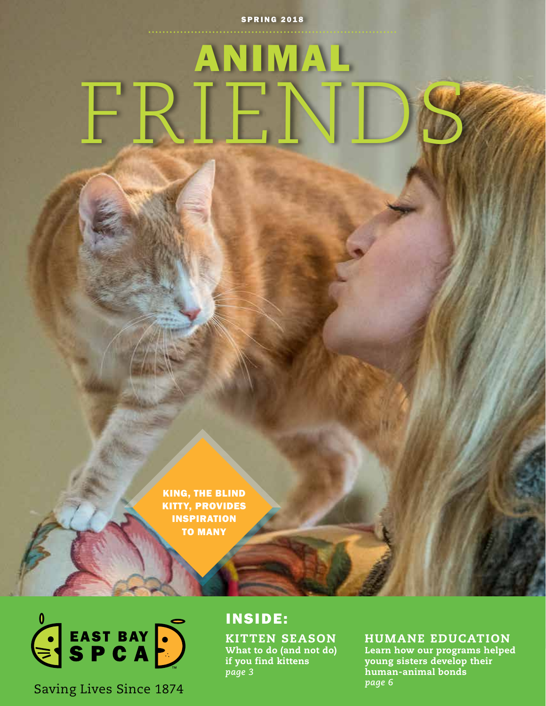### **SPRING 2018**

ANIMAL

KING, THE BLIND KITTY, PROVIDES INSPIRATION TO MANY



 $\mathsf{F}\mathsf{I}$ 

*page 6* Saving Lives Since 1874

## INSIDE:

KITTEN SEASON What to do (and not do) if you find kittens *page 3*

## HUMANE EDUCATION

Learn how our programs helped young sisters develop their human-animal bonds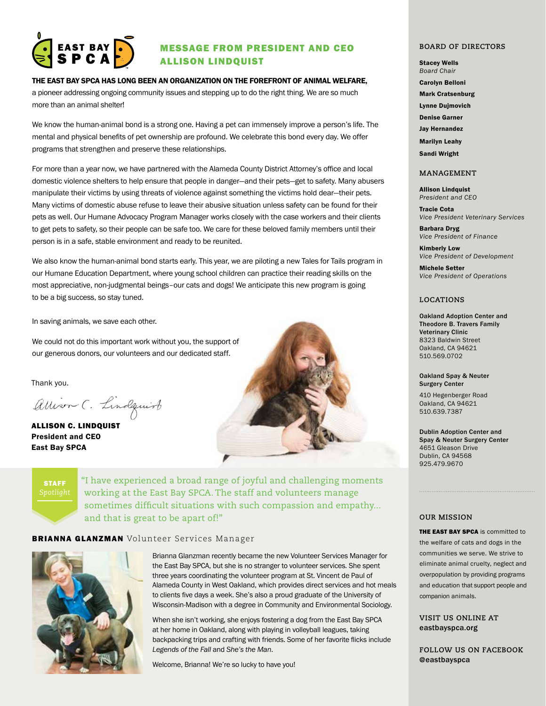

## MESSAGE FROM PRESIDENT AND CEO ALLISON LINDQUIST

THE EAST BAY SPCA HAS LONG BEEN AN ORGANIZATION ON THE FOREFRONT OF ANIMAL WELFARE,

a pioneer addressing ongoing community issues and stepping up to do the right thing. We are so much more than an animal shelter!

We know the human-animal bond is a strong one. Having a pet can immensely improve a person's life. The mental and physical benefits of pet ownership are profound. We celebrate this bond every day. We offer programs that strengthen and preserve these relationships.

For more than a year now, we have partnered with the Alameda County District Attorney's office and local domestic violence shelters to help ensure that people in danger—and their pets—get to safety. Many abusers manipulate their victims by using threats of violence against something the victims hold dear—their pets. Many victims of domestic abuse refuse to leave their abusive situation unless safety can be found for their pets as well. Our Humane Advocacy Program Manager works closely with the case workers and their clients to get pets to safety, so their people can be safe too. We care for these beloved family members until their person is in a safe, stable environment and ready to be reunited.

We also know the human-animal bond starts early. This year, we are piloting a new Tales for Tails program in our Humane Education Department, where young school children can practice their reading skills on the most appreciative, non-judgmental beings–our cats and dogs! We anticipate this new program is going to be a big success, so stay tuned.

In saving animals, we save each other.

We could not do this important work without you, the support of our generous donors, our volunteers and our dedicated staff.

Thank you.

Allison C. Lindquist

ALLISON C. LINDQUIST President and CEO East Bay SPCA



STAFF

"I have experienced a broad range of joyful and challenging moments working at the East Bay SPCA. The staff and volunteers manage sometimes difficult situations with such compassion and empathy... and that is great to be apart of!"

**BRIANNA GLANZMAN** Volunteer Services Manager



Brianna Glanzman recently became the new Volunteer Services Manager for the East Bay SPCA, but she is no stranger to volunteer services. She spent three years coordinating the volunteer program at St. Vincent de Paul of Alameda County in West Oakland, which provides direct services and hot meals to clients five days a week. She's also a proud graduate of the University of Wisconsin-Madison with a degree in Community and Environmental Sociology.

When she isn't working, she enjoys fostering a dog from the East Bay SPCA at her home in Oakland, along with playing in volleyball leagues, taking backpacking trips and crafting with friends. Some of her favorite flicks include *Legends of the Fall* and *She's the Man*.

Welcome, Brianna! We're so lucky to have you!

#### **BOARD OF DIRECTORS**

Stacey Wells *Board Chair*

Carolyn Belloni

Mark Cratsenburg

Lynne Dujmovich

Denise Garner

Jay Hernandez

Marilyn Leahy Sandi Wright

## **MANAGEMENT**

Allison Lindquist *President and CEO*

Tracie Cota *Vice President Veterinary Services*

Barbara Dryg *Vice President of Finance*

Kimberly Low *Vice President of Development*

Michele Setter *Vice President of Operations*

#### **LOCATIONS**

Oakland Adoption Center and Theodore B. Travers Family Veterinary Clinic 8323 Baldwin Street Oakland, CA 94621 510.569.0702

Oakland Spay & Neuter Surgery Center

410 Hegenberger Road Oakland, CA 94621 510.639.7387

Dublin Adoption Center and Spay & Neuter Surgery Center 4651 Gleason Drive Dublin, CA 94568 925.479.9670

#### **OUR MISSION**

**THE EAST BAY SPCA** is committed to the welfare of cats and dogs in the communities we serve. We strive to eliminate animal cruelty, neglect and overpopulation by providing programs and education that support people and companion animals.

#### **VISIT US ONLINE AT** eastbayspca.org

**FOLLOW US ON FACEBOOK @**eastbayspca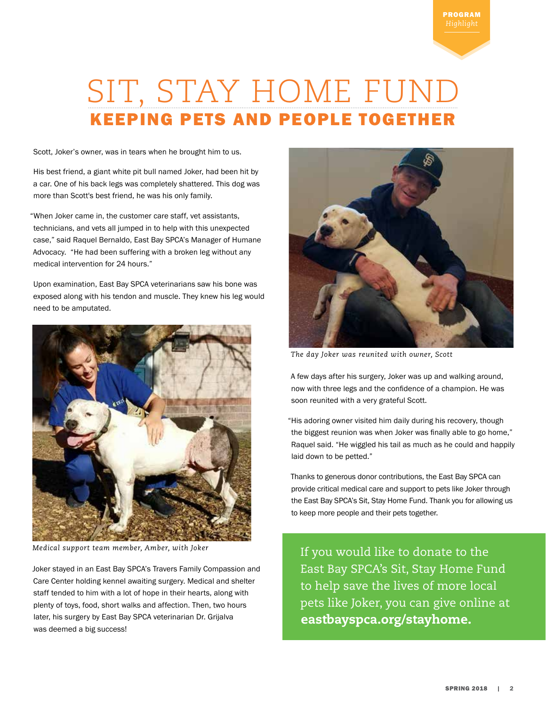# SIT, STAY HOME FUND KEEPING PETS AND PEOPLE TOGETHER

Scott, Joker's owner, was in tears when he brought him to us.

His best friend, a giant white pit bull named Joker, had been hit by a car. One of his back legs was completely shattered. This dog was more than Scott's best friend, he was his only family.

"When Joker came in, the customer care staff, vet assistants, technicians, and vets all jumped in to help with this unexpected case," said Raquel Bernaldo, East Bay SPCA's Manager of Humane Advocacy. "He had been suffering with a broken leg without any medical intervention for 24 hours."

Upon examination, East Bay SPCA veterinarians saw his bone was exposed along with his tendon and muscle. They knew his leg would need to be amputated.



*Medical support team member, Amber, with Joker*

Joker stayed in an East Bay SPCA's Travers Family Compassion and Care Center holding kennel awaiting surgery. Medical and shelter staff tended to him with a lot of hope in their hearts, along with plenty of toys, food, short walks and affection. Then, two hours later, his surgery by East Bay SPCA veterinarian Dr. Grijalva was deemed a big success!



*The day Joker was reunited with owner, Scott*

A few days after his surgery, Joker was up and walking around, now with three legs and the confidence of a champion. He was soon reunited with a very grateful Scott.

"His adoring owner visited him daily during his recovery, though the biggest reunion was when Joker was finally able to go home," Raquel said. "He wiggled his tail as much as he could and happily laid down to be petted."

Thanks to generous donor contributions, the East Bay SPCA can provide critical medical care and support to pets like Joker through the East Bay SPCA's Sit, Stay Home Fund. Thank you for allowing us to keep more people and their pets together.

If you would like to donate to the East Bay SPCA's Sit, Stay Home Fund to help save the lives of more local pets like Joker, you can give online at eastbayspca.org/stayhome.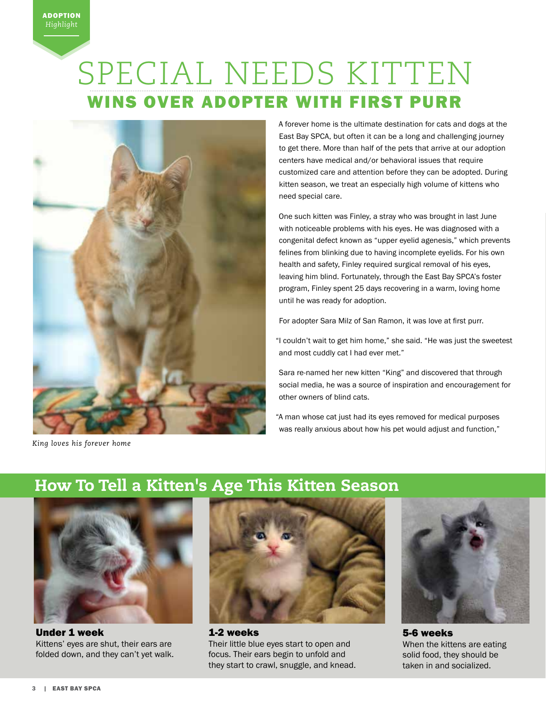# SPECIAL NEEDS KITTEN WINS OVER ADOPTER WITH FIRST PURR



*King loves his forever home*

A forever home is the ultimate destination for cats and dogs at the East Bay SPCA, but often it can be a long and challenging journey to get there. More than half of the pets that arrive at our adoption centers have medical and/or behavioral issues that require customized care and attention before they can be adopted. During kitten season, we treat an especially high volume of kittens who need special care.

One such kitten was Finley, a stray who was brought in last June with noticeable problems with his eyes. He was diagnosed with a congenital defect known as "upper eyelid agenesis," which prevents felines from blinking due to having incomplete eyelids. For his own health and safety, Finley required surgical removal of his eyes, leaving him blind. Fortunately, through the East Bay SPCA's foster program, Finley spent 25 days recovering in a warm, loving home until he was ready for adoption.

For adopter Sara Milz of San Ramon, it was love at first purr.

"I couldn't wait to get him home," she said. "He was just the sweetest and most cuddly cat I had ever met."

Sara re-named her new kitten "King" and discovered that through social media, he was a source of inspiration and encouragement for other owners of blind cats.

"A man whose cat just had its eyes removed for medical purposes was really anxious about how his pet would adjust and function,"

## How To Tell a Kitten's Age This Kitten Season



Under 1 week Kittens' eyes are shut, their ears are folded down, and they can't yet walk.



1-2 weeks Their little blue eyes start to open and focus. Their ears begin to unfold and they start to crawl, snuggle, and knead.



5-6 weeks When the kittens are eating solid food, they should be taken in and socialized.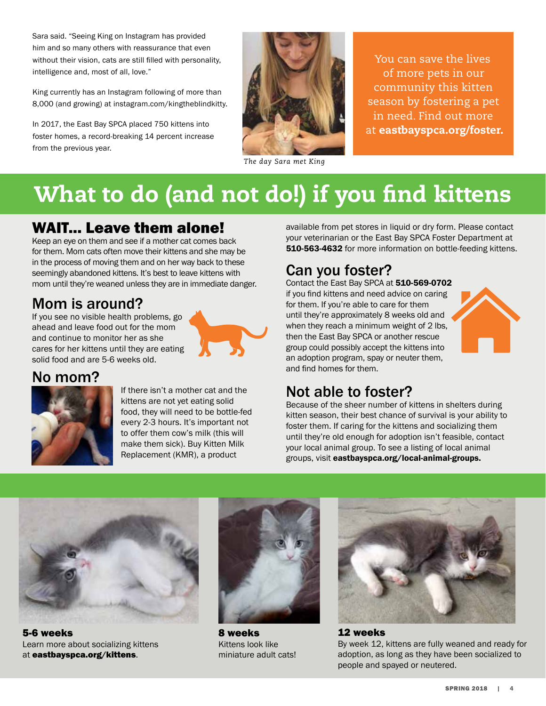Sara said. "Seeing King on Instagram has provided him and so many others with reassurance that even without their vision, cats are still filled with personality, intelligence and, most of all, love."

King currently has an Instagram following of more than 8,000 (and growing) at instagram.com/kingtheblindkitty.

In 2017, the East Bay SPCA placed 750 kittens into foster homes, a record-breaking 14 percent increase from the previous year.



*The day Sara met King*

You can save the lives of more pets in our community this kitten season by fostering a pet in need. Find out more at eastbayspca.org/foster.

# What to do (and not do!) if you find kittens

## WAIT... Leave them alone!

Keep an eye on them and see if a mother cat comes back for them. Mom cats often move their kittens and she may be in the process of moving them and on her way back to these seemingly abandoned kittens. It's best to leave kittens with mom until they're weaned unless they are in immediate danger.

## Mom is around?

If you see no visible health problems, go ahead and leave food out for the mom and continue to monitor her as she cares for her kittens until they are eating solid food and are 5-6 weeks old.



## No mom?



If there isn't a mother cat and the kittens are not yet eating solid food, they will need to be bottle-fed every 2-3 hours. It's important not to offer them cow's milk (this will make them sick). Buy Kitten Milk Replacement (KMR), a product

available from pet stores in liquid or dry form. Please contact your veterinarian or the East Bay SPCA Foster Department at 510-563-4632 for more information on bottle-feeding kittens.

## Can you foster?

Contact the East Bay SPCA at 510-569-0702 if you find kittens and need advice on caring for them. If you're able to care for them until they're approximately 8 weeks old and when they reach a minimum weight of 2 lbs, then the East Bay SPCA or another rescue group could possibly accept the kittens into an adoption program, spay or neuter them, and find homes for them.



## Not able to foster?

Because of the sheer number of kittens in shelters during kitten season, their best chance of survival is your ability to foster them. If caring for the kittens and socializing them until they're old enough for adoption isn't feasible, contact your local animal group. To see a listing of local animal groups, visit eastbayspca.org/local-animal-groups.



5-6 weeks Learn more about socializing kittens at eastbayspca.org/kittens.



8 weeks Kittens look like miniature adult cats!



12 weeks By week 12, kittens are fully weaned and ready for adoption, as long as they have been socialized to people and spayed or neutered.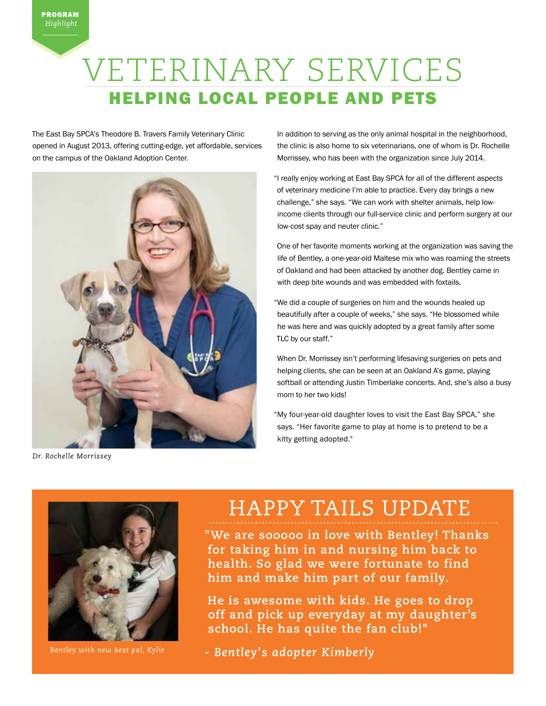# VETERINARY SERVICES HELPING LOCAL PEOPLE AND PETS

The East Bay SPCA's Theodore B. Travers Family Veterinary Clinic opened in August 2013, offering cutting-edge, yet affordable, services on the campus of the Oakland Adoption Center.



*Dr. Rochelle Morrissey*

In addition to serving as the only animal hospital in the neighborhood, the clinic is also home to six veterinarians, one of whom is Dr. Rochelle Morrissey, who has been with the organization since July 2014.

"I really enjoy working at East Bay SPCA for all of the different aspects of veterinary medicine I'm able to practice. Every day brings a new challenge," she says. "We can work with shelter animals, help lowincome clients through our full-service clinic and perform surgery at our low-cost spay and neuter clinic."

One of her favorite moments working at the organization was saving the life of Bentley, a one-year-old Maltese mix who was roaming the streets of Oakland and had been attacked by another dog. Bentley came in with deep bite wounds and was embedded with foxtails.

"We did a couple of surgeries on him and the wounds healed up beautifully after a couple of weeks," she says. "He blossomed while he was here and was quickly adopted by a great family after some TLC by our staff."

When Dr. Morrissey isn't performing lifesaving surgeries on pets and helping clients, she can be seen at an Oakland A's game, playing softball or attending Justin Timberlake concerts. And, she's also a busy mom to her two kids!

"My four-year-old daughter loves to visit the East Bay SPCA," she says. "Her favorite game to play at home is to pretend to be a kitty getting adopted."



*Bentley with new best pal, Kylie* 

## HAPPY TAILS UPDATE

**"We are sooooo in love with Bentley! Thanks for taking him in and nursing him back to health. So glad we were fortunate to find him and make him part of our family.**

**He is awesome with kids. He goes to drop off and pick up everyday at my daughter's school. He has quite the fan club!"** 

**-** *Bentley's adopter Kimberly*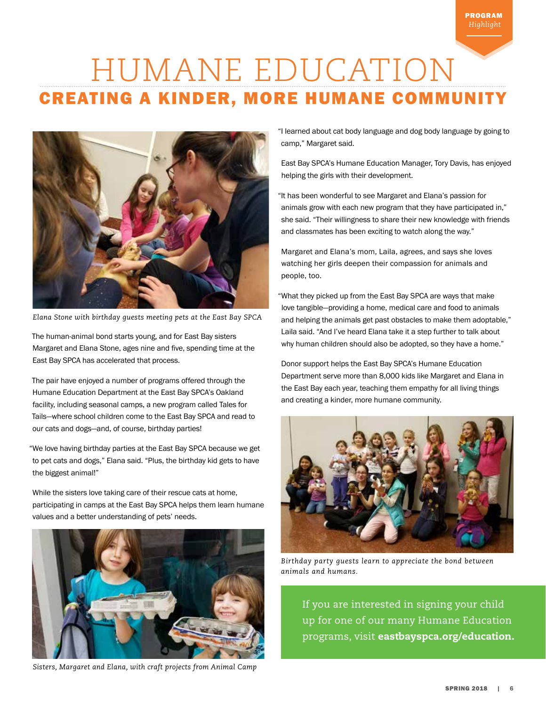# HUMANE EDUCATION CREATING A KINDER, MORE HUMANE COMMUNITY



*Elana Stone with birthday guests meeting pets at the East Bay SPCA*

The human-animal bond starts young, and for East Bay sisters Margaret and Elana Stone, ages nine and five, spending time at the East Bay SPCA has accelerated that process.

The pair have enjoyed a number of programs offered through the Humane Education Department at the East Bay SPCA's Oakland facility, including seasonal camps, a new program called Tales for Tails—where school children come to the East Bay SPCA and read to our cats and dogs—and, of course, birthday parties!

"We love having birthday parties at the East Bay SPCA because we get to pet cats and dogs," Elana said. "Plus, the birthday kid gets to have the biggest animal!"

While the sisters love taking care of their rescue cats at home, participating in camps at the East Bay SPCA helps them learn humane values and a better understanding of pets' needs.



*Sisters, Margaret and Elana, with craft projects from Animal Camp* 

"I learned about cat body language and dog body language by going to camp," Margaret said.

PROGRAM *Highlight*

East Bay SPCA's Humane Education Manager, Tory Davis, has enjoyed helping the girls with their development.

"It has been wonderful to see Margaret and Elana's passion for animals grow with each new program that they have participated in," she said. "Their willingness to share their new knowledge with friends and classmates has been exciting to watch along the way."

Margaret and Elana's mom, Laila, agrees, and says she loves watching her girls deepen their compassion for animals and people, too.

"What they picked up from the East Bay SPCA are ways that make love tangible—providing a home, medical care and food to animals and helping the animals get past obstacles to make them adoptable," Laila said. "And I've heard Elana take it a step further to talk about why human children should also be adopted, so they have a home."

Donor support helps the East Bay SPCA's Humane Education Department serve more than 8,000 kids like Margaret and Elana in the East Bay each year, teaching them empathy for all living things and creating a kinder, more humane community.



*Birthday party guests learn to appreciate the bond between animals and humans.* 

If you are interested in signing your child up for one of our many Humane Education programs, visit eastbayspca.org/education.